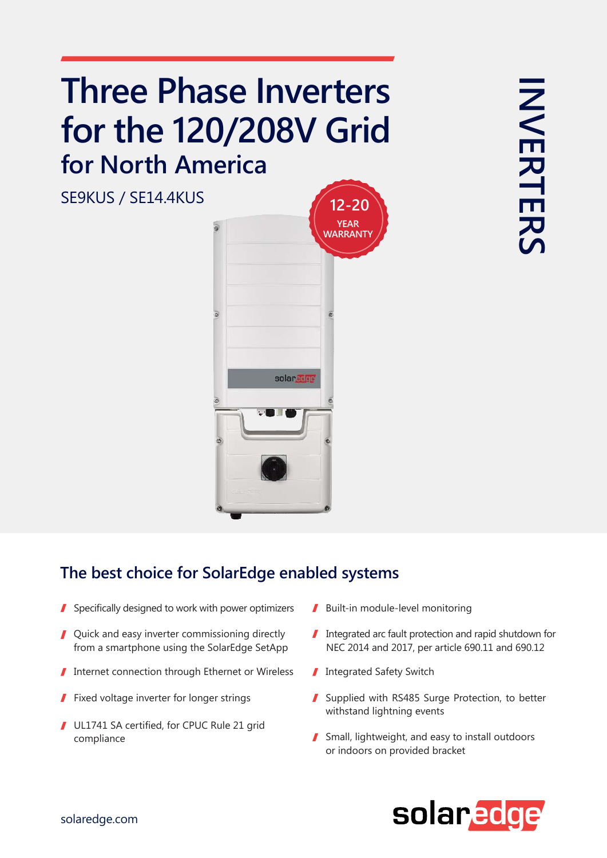## **Three Phase Inverters for the 120/208V Grid for North America**



## **The best choice for SolarEdge enabled systems**

- Specifically designed to work with power optimizers  $\blacksquare$  Built-in module-level monitoring  $\mathbf{r}$
- Quick and easy inverter commissioning directly from a smartphone using the SolarEdge SetApp
- 1 Internet connection through Ethernet or Wireless Integrated Safety Switch
- I
- UL1741 SA certified, for CPUC Rule 21 grid  $\blacksquare$
- 
- Integrated arc fault protection and rapid shutdown for NEC 2014 and 2017, per article 690.11 and 690.12
- 
- Fixed voltage inverter for longer strings Supplied with RS485 Surge Protection, to better withstand lightning events
- compliance **Small** Small, lightweight, and easy to install outdoors or indoors on provided bracket